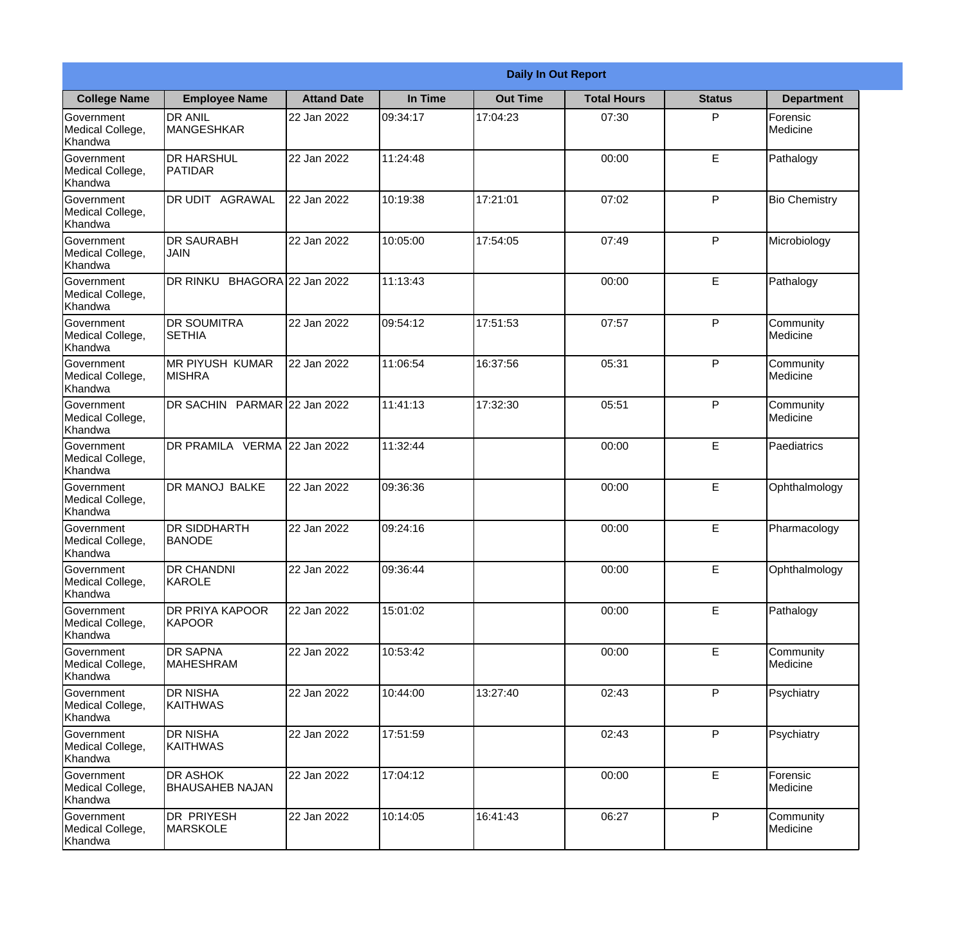|                                                  | <b>Daily In Out Report</b>                |                    |          |                 |                    |               |                              |  |
|--------------------------------------------------|-------------------------------------------|--------------------|----------|-----------------|--------------------|---------------|------------------------------|--|
| <b>College Name</b>                              | <b>Employee Name</b>                      | <b>Attand Date</b> | In Time  | <b>Out Time</b> | <b>Total Hours</b> | <b>Status</b> | <b>Department</b>            |  |
| Government<br>Medical College,<br>Khandwa        | <b>DR ANIL</b><br><b>MANGESHKAR</b>       | 22 Jan 2022        | 09:34:17 | 17:04:23        | 07:30              | P             | Forensic<br>Medicine         |  |
| Government<br>Medical College,<br>Khandwa        | <b>DR HARSHUL</b><br>PATIDAR              | 22 Jan 2022        | 11:24:48 |                 | 00:00              | E             | Pathalogy                    |  |
| <b>Government</b><br>Medical College,<br>Khandwa | <b>DR UDIT AGRAWAL</b>                    | 22 Jan 2022        | 10:19:38 | 17:21:01        | 07:02              | P             | <b>Bio Chemistry</b>         |  |
| <b>Government</b><br>Medical College,<br>Khandwa | <b>DR SAURABH</b><br><b>JAIN</b>          | 22 Jan 2022        | 10:05:00 | 17:54:05        | 07:49              | P             | Microbiology                 |  |
| Government<br>Medical College,<br>Khandwa        | DR RINKU BHAGORA 22 Jan 2022              |                    | 11:13:43 |                 | 00:00              | E             | Pathalogy                    |  |
| Government<br>Medical College,<br>Khandwa        | <b>DR SOUMITRA</b><br><b>SETHIA</b>       | 22 Jan 2022        | 09:54:12 | 17:51:53        | 07:57              | P             | Community<br><b>Medicine</b> |  |
| <b>Government</b><br>Medical College,<br>Khandwa | <b>IMR PIYUSH KUMAR</b><br><b>MISHRA</b>  | 22 Jan 2022        | 11:06:54 | 16:37:56        | 05:31              | P             | Community<br>Medicine        |  |
| <b>Government</b><br>Medical College,<br>Khandwa | DR SACHIN PARMAR 22 Jan 2022              |                    | 11:41:13 | 17:32:30        | 05:51              | P             | Community<br>Medicine        |  |
| Government<br>Medical College,<br>Khandwa        | DR PRAMILA VERMA 22 Jan 2022              |                    | 11:32:44 |                 | 00:00              | E             | Paediatrics                  |  |
| Government<br>Medical College,<br>Khandwa        | DR MANOJ BALKE                            | 22 Jan 2022        | 09:36:36 |                 | 00:00              | $\mathsf E$   | Ophthalmology                |  |
| Government<br>Medical College,<br>Khandwa        | <b>DR SIDDHARTH</b><br><b>BANODE</b>      | 22 Jan 2022        | 09:24:16 |                 | 00:00              | E             | Pharmacology                 |  |
| Government<br>Medical College,<br>Khandwa        | <b>DR CHANDNI</b><br>KAROLE               | 22 Jan 2022        | 09:36:44 |                 | 00:00              | E             | Ophthalmology                |  |
| Government<br>Medical College,<br>Khandwa        | <b>DR PRIYA KAPOOR</b><br><b>KAPOOR</b>   | 22 Jan 2022        | 15:01:02 |                 | 00:00              | E             | Pathalogy                    |  |
| Government<br>Medical College,<br>Khandwa        | <b>DR SAPNA</b><br><b>MAHESHRAM</b>       | 22 Jan 2022        | 10:53:42 |                 | 00:00              | $\mathsf E$   | Community<br>Medicine        |  |
| Government<br>Medical College,<br>Khandwa        | <b>I</b> DR NISHA<br><b>KAITHWAS</b>      | 22 Jan 2022        | 10:44:00 | 13:27:40        | 02:43              | P             | Psychiatry                   |  |
| Government<br>Medical College,<br>Khandwa        | <b>DR NISHA</b><br>KAITHWAS               | 22 Jan 2022        | 17:51:59 |                 | 02:43              | P             | Psychiatry                   |  |
| Government<br>Medical College,<br>Khandwa        | <b>DR ASHOK</b><br><b>BHAUSAHEB NAJAN</b> | 22 Jan 2022        | 17:04:12 |                 | 00:00              | E             | Forensic<br>Medicine         |  |
| Government<br>Medical College,<br>Khandwa        | DR PRIYESH<br>MARSKOLE                    | 22 Jan 2022        | 10:14:05 | 16:41:43        | 06:27              | P             | Community<br>Medicine        |  |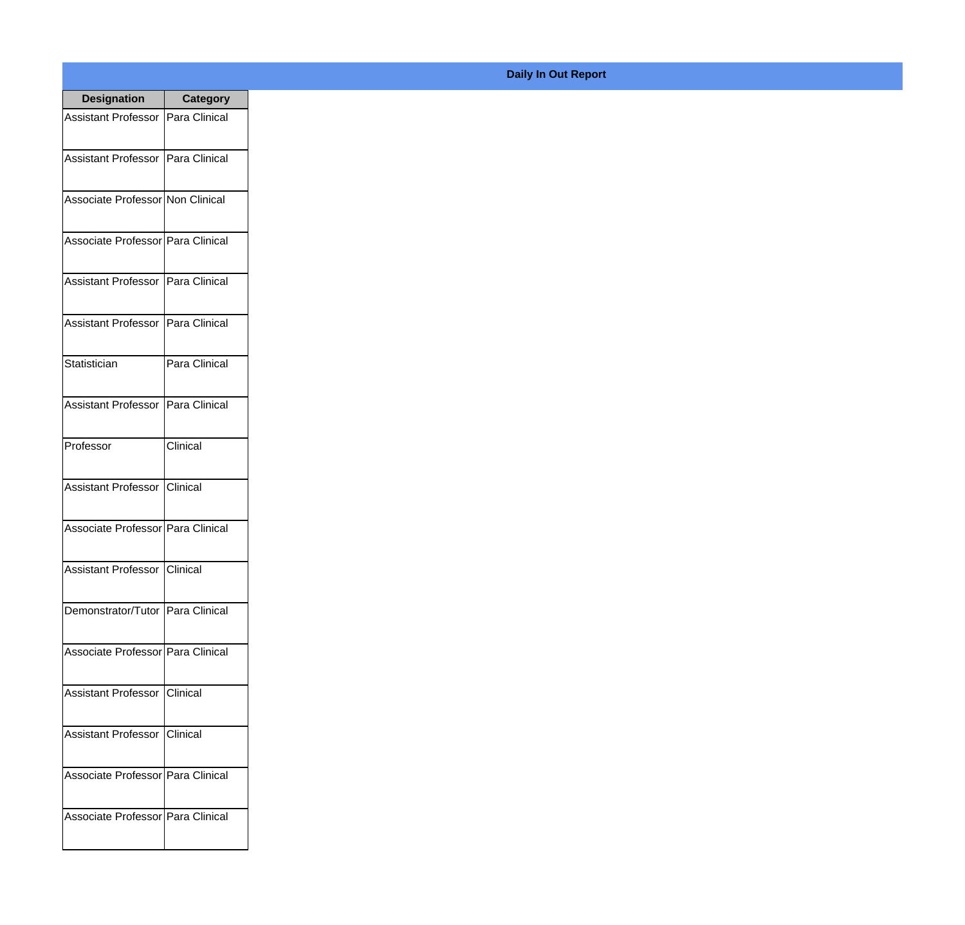| <b>Designation</b>                  | <b>Category</b>   |
|-------------------------------------|-------------------|
| Assistant Professor   Para Clinical |                   |
| Assistant Professor   Para Clinical |                   |
| Associate Professor Non Clinical    |                   |
| Associate Professor   Para Clinical |                   |
| <b>Assistant Professor</b>          | Para Clinical     |
| Assistant Professor   Para Clinical |                   |
| Statistician                        | Para Clinical     |
| Assistant Professor   Para Clinical |                   |
| Professor                           | Clinical          |
| Assistant Professor                 | <b>I</b> Clinical |
| Associate Professor Para Clinical   |                   |
| Assistant Professor Clinical        |                   |
| Demonstrator/Tutor   Para Clinical  |                   |
| Associate Professor Para Clinical   |                   |
| Assistant Professor   Clinical      |                   |
| <b>Assistant Professor</b>          | <b>Clinical</b>   |
| Associate Professor Para Clinical   |                   |
| Associate Professor Para Clinical   |                   |

## **Daily In Out Report**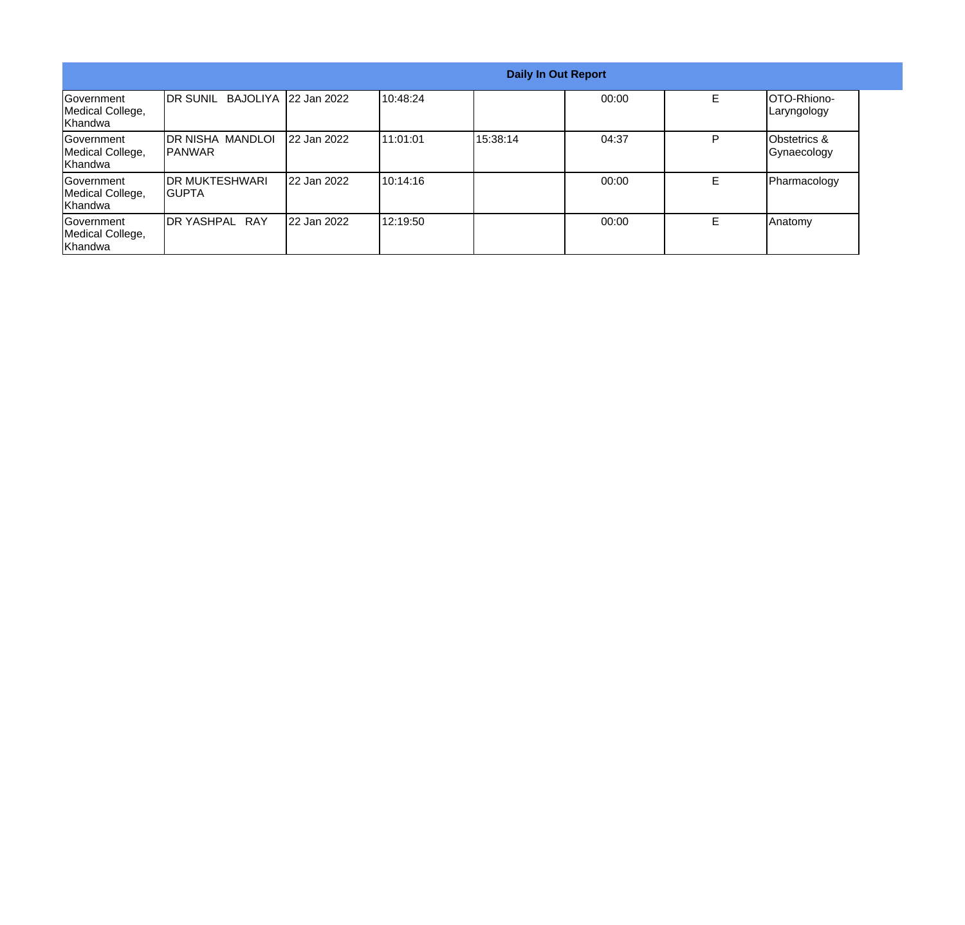| <b>Daily In Out Report</b>                              |                                     |                       |           |          |       |   |                                         |
|---------------------------------------------------------|-------------------------------------|-----------------------|-----------|----------|-------|---|-----------------------------------------|
| Government<br>Medical College,<br><b>Khandwa</b>        | <b>IDR SUNIL</b>                    | BAJOLIYA 122 Jan 2022 | 10:48:24  |          | 00:00 | E | OTO-Rhiono-<br>Laryngology              |
| <b>Sovernment</b><br>Medical College,<br><b>Khandwa</b> | IDR NISHA MANDLOI<br><b>IPANWAR</b> | 22 Jan 2022           | 111:01:01 | 15:38:14 | 04:37 | P | <b>IObstetrics &amp;</b><br>Gynaecology |
| Government<br>Medical College,<br>Khandwa               | <b>IDR MUKTESHWARI</b><br>IGUPTA    | 22 Jan 2022           | 10:14:16  |          | 00:00 | F | Pharmacology                            |
| Government<br>Medical College,<br>Khandwa               | DR YASHPAL RAY                      | 22 Jan 2022           | 12:19:50  |          | 00:00 | F | Anatomy                                 |